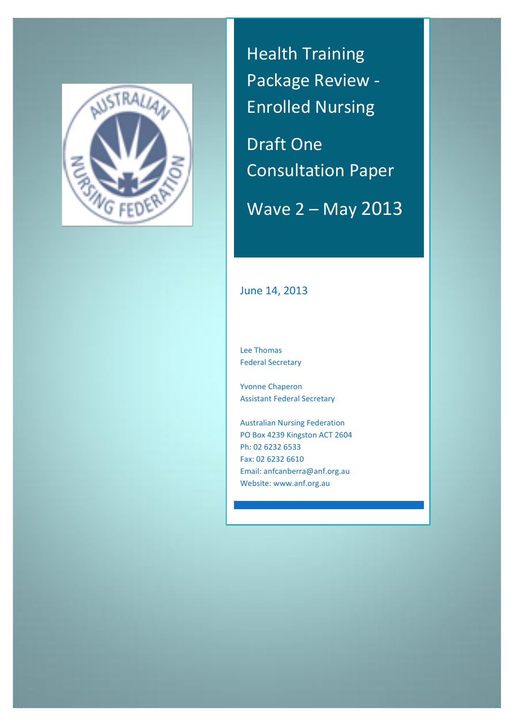

Health Training Package Review - Enrolled Nursing

Draft One Consultation Paper

Wave 2 – May 2013

# June 14, 2013

Lee Thomas Federal Secretary

Yvonne Chaperon Assistant Federal Secretary

Australian Nursing Federation PO Box 4239 Kingston ACT 2604 Ph: 02 6232 6533 Fax: 02 6232 6610 Email: anfcanberra@anf.org.au Website: www.anf.org.au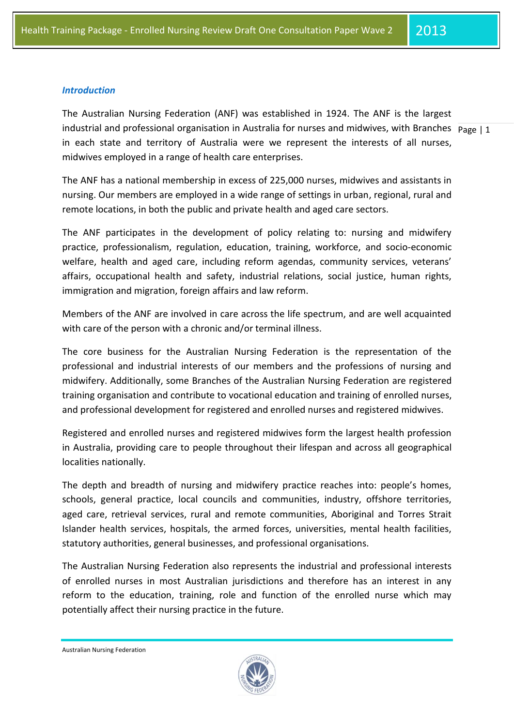#### *Introduction*

industrial and professional organisation in Australia for nurses and midwives, with Branches  $\vert$  page | 1 The Australian Nursing Federation (ANF) was established in 1924. The ANF is the largest in each state and territory of Australia were we represent the interests of all nurses, midwives employed in a range of health care enterprises.

The ANF has a national membership in excess of 225,000 nurses, midwives and assistants in nursing. Our members are employed in a wide range of settings in urban, regional, rural and remote locations, in both the public and private health and aged care sectors.

The ANF participates in the development of policy relating to: nursing and midwifery practice, professionalism, regulation, education, training, workforce, and socio-economic welfare, health and aged care, including reform agendas, community services, veterans' affairs, occupational health and safety, industrial relations, social justice, human rights, immigration and migration, foreign affairs and law reform.

Members of the ANF are involved in care across the life spectrum, and are well acquainted with care of the person with a chronic and/or terminal illness.

The core business for the Australian Nursing Federation is the representation of the professional and industrial interests of our members and the professions of nursing and midwifery. Additionally, some Branches of the Australian Nursing Federation are registered training organisation and contribute to vocational education and training of enrolled nurses, and professional development for registered and enrolled nurses and registered midwives.

Registered and enrolled nurses and registered midwives form the largest health profession in Australia, providing care to people throughout their lifespan and across all geographical localities nationally.

The depth and breadth of nursing and midwifery practice reaches into: people's homes, schools, general practice, local councils and communities, industry, offshore territories, aged care, retrieval services, rural and remote communities, Aboriginal and Torres Strait Islander health services, hospitals, the armed forces, universities, mental health facilities, statutory authorities, general businesses, and professional organisations.

The Australian Nursing Federation also represents the industrial and professional interests of enrolled nurses in most Australian jurisdictions and therefore has an interest in any reform to the education, training, role and function of the enrolled nurse which may potentially affect their nursing practice in the future.

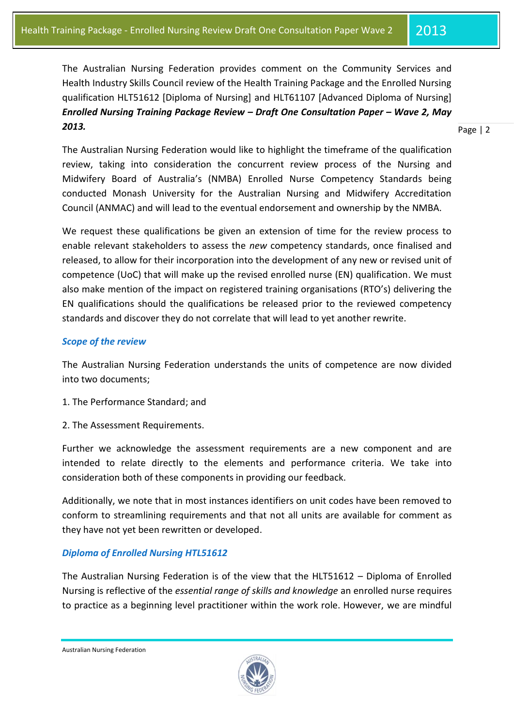The Australian Nursing Federation provides comment on the Community Services and Health Industry Skills Council review of the Health Training Package and the Enrolled Nursing qualification HLT51612 [Diploma of Nursing] and HLT61107 [Advanced Diploma of Nursing] *Enrolled Nursing Training Package Review – Draft One Consultation Paper – Wave 2, May 2013.*

Page | 2

The Australian Nursing Federation would like to highlight the timeframe of the qualification review, taking into consideration the concurrent review process of the Nursing and Midwifery Board of Australia's (NMBA) Enrolled Nurse Competency Standards being conducted Monash University for the Australian Nursing and Midwifery Accreditation Council (ANMAC) and will lead to the eventual endorsement and ownership by the NMBA.

We request these qualifications be given an extension of time for the review process to enable relevant stakeholders to assess the *new* competency standards, once finalised and released, to allow for their incorporation into the development of any new or revised unit of competence (UoC) that will make up the revised enrolled nurse (EN) qualification. We must also make mention of the impact on registered training organisations (RTO's) delivering the EN qualifications should the qualifications be released prior to the reviewed competency standards and discover they do not correlate that will lead to yet another rewrite.

## *Scope of the review*

The Australian Nursing Federation understands the units of competence are now divided into two documents;

- 1. The Performance Standard; and
- 2. The Assessment Requirements.

Further we acknowledge the assessment requirements are a new component and are intended to relate directly to the elements and performance criteria. We take into consideration both of these components in providing our feedback.

Additionally, we note that in most instances identifiers on unit codes have been removed to conform to streamlining requirements and that not all units are available for comment as they have not yet been rewritten or developed.

# *Diploma of Enrolled Nursing HTL51612*

The Australian Nursing Federation is of the view that the HLT51612 – Diploma of Enrolled Nursing is reflective of the *essential range of skills and knowledge* an enrolled nurse requires to practice as a beginning level practitioner within the work role. However, we are mindful

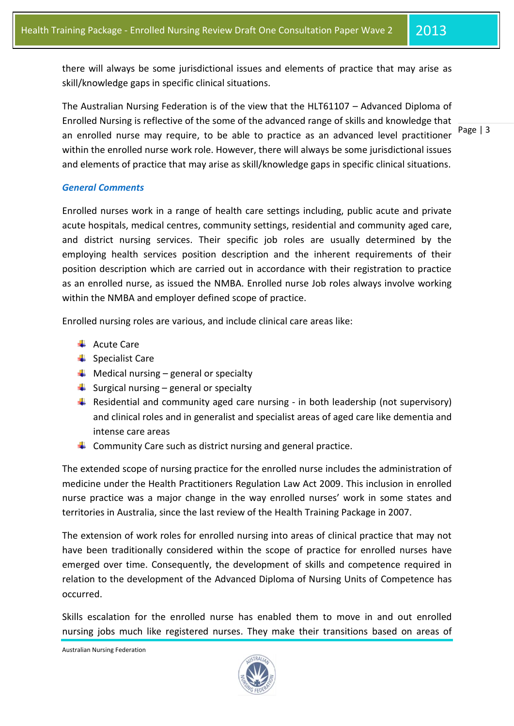there will always be some jurisdictional issues and elements of practice that may arise as skill/knowledge gaps in specific clinical situations.

The Australian Nursing Federation is of the view that the HLT61107 – Advanced Diploma of Enrolled Nursing is reflective of the some of the advanced range of skills and knowledge that an enrolled nurse may require, to be able to practice as an advanced level practitioner within the enrolled nurse work role. However, there will always be some jurisdictional issues and elements of practice that may arise as skill/knowledge gaps in specific clinical situations.

Page | 3

# *General Comments*

Enrolled nurses work in a range of health care settings including, public acute and private acute hospitals, medical centres, community settings, residential and community aged care, and district nursing services. Their specific job roles are usually determined by the employing health services position description and the inherent requirements of their position description which are carried out in accordance with their registration to practice as an enrolled nurse, as issued the NMBA. Enrolled nurse Job roles always involve working within the NMBA and employer defined scope of practice.

Enrolled nursing roles are various, and include clinical care areas like:

- **←** Acute Care
- $\frac{1}{\sqrt{2}}$  Specialist Care
- $\bigstar$  Medical nursing general or specialty
- $\triangleq$  Surgical nursing general or specialty
- **F** Residential and community aged care nursing in both leadership (not supervisory) and clinical roles and in generalist and specialist areas of aged care like dementia and intense care areas
- $\ddot{+}$  Community Care such as district nursing and general practice.

The extended scope of nursing practice for the enrolled nurse includes the administration of medicine under the Health Practitioners Regulation Law Act 2009. This inclusion in enrolled nurse practice was a major change in the way enrolled nurses' work in some states and territories in Australia, since the last review of the Health Training Package in 2007.

The extension of work roles for enrolled nursing into areas of clinical practice that may not have been traditionally considered within the scope of practice for enrolled nurses have emerged over time. Consequently, the development of skills and competence required in relation to the development of the Advanced Diploma of Nursing Units of Competence has occurred.

Skills escalation for the enrolled nurse has enabled them to move in and out enrolled nursing jobs much like registered nurses. They make their transitions based on areas of

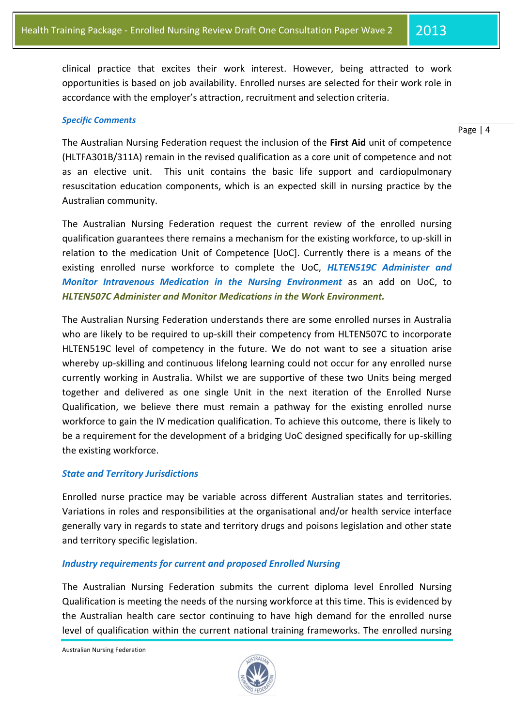clinical practice that excites their work interest. However, being attracted to work opportunities is based on job availability. Enrolled nurses are selected for their work role in accordance with the employer's attraction, recruitment and selection criteria.

#### *Specific Comments*

#### Page | 4

The Australian Nursing Federation request the inclusion of the **First Aid** unit of competence (HLTFA301B/311A) remain in the revised qualification as a core unit of competence and not as an elective unit. This unit contains the basic life support and cardiopulmonary resuscitation education components, which is an expected skill in nursing practice by the Australian community.

The Australian Nursing Federation request the current review of the enrolled nursing qualification guarantees there remains a mechanism for the existing workforce, to up-skill in relation to the medication Unit of Competence [UoC]. Currently there is a means of the existing enrolled nurse workforce to complete the UoC, *HLTEN519C Administer and Monitor Intravenous Medication in the Nursing Environment* as an add on UoC, to *HLTEN507C Administer and Monitor Medications in the Work Environment.*

The Australian Nursing Federation understands there are some enrolled nurses in Australia who are likely to be required to up-skill their competency from HLTEN507C to incorporate HLTEN519C level of competency in the future. We do not want to see a situation arise whereby up-skilling and continuous lifelong learning could not occur for any enrolled nurse currently working in Australia. Whilst we are supportive of these two Units being merged together and delivered as one single Unit in the next iteration of the Enrolled Nurse Qualification, we believe there must remain a pathway for the existing enrolled nurse workforce to gain the IV medication qualification. To achieve this outcome, there is likely to be a requirement for the development of a bridging UoC designed specifically for up-skilling the existing workforce.

## *State and Territory Jurisdictions*

Enrolled nurse practice may be variable across different Australian states and territories. Variations in roles and responsibilities at the organisational and/or health service interface generally vary in regards to state and territory drugs and poisons legislation and other state and territory specific legislation.

## *Industry requirements for current and proposed Enrolled Nursing*

The Australian Nursing Federation submits the current diploma level Enrolled Nursing Qualification is meeting the needs of the nursing workforce at this time. This is evidenced by the Australian health care sector continuing to have high demand for the enrolled nurse level of qualification within the current national training frameworks. The enrolled nursing

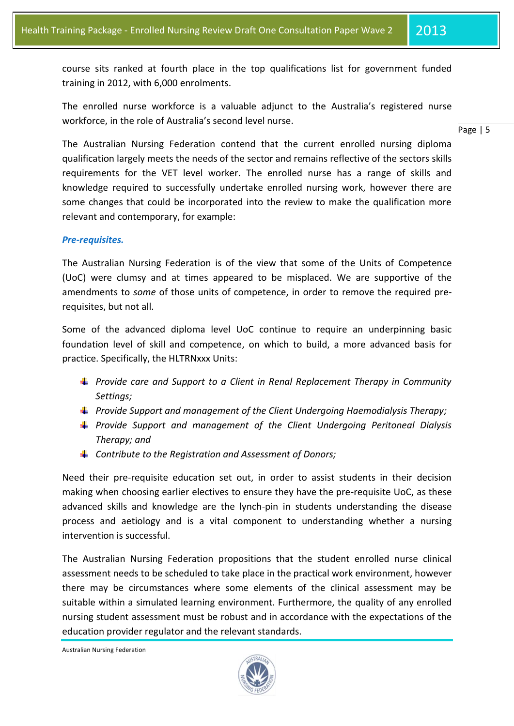course sits ranked at fourth place in the top qualifications list for government funded training in 2012, with 6,000 enrolments.

The enrolled nurse workforce is a valuable adjunct to the Australia's registered nurse workforce, in the role of Australia's second level nurse.

#### Page | 5

The Australian Nursing Federation contend that the current enrolled nursing diploma qualification largely meets the needs of the sector and remains reflective of the sectors skills requirements for the VET level worker. The enrolled nurse has a range of skills and knowledge required to successfully undertake enrolled nursing work, however there are some changes that could be incorporated into the review to make the qualification more relevant and contemporary, for example:

## *Pre-requisites.*

The Australian Nursing Federation is of the view that some of the Units of Competence (UoC) were clumsy and at times appeared to be misplaced. We are supportive of the amendments to *some* of those units of competence, in order to remove the required prerequisites, but not all.

Some of the advanced diploma level UoC continue to require an underpinning basic foundation level of skill and competence, on which to build, a more advanced basis for practice. Specifically, the HLTRNxxx Units:

- *Provide care and Support to a Client in Renal Replacement Therapy in Community Settings;*
- *Provide Support and management of the Client Undergoing Haemodialysis Therapy;*
- *Provide Support and management of the Client Undergoing Peritoneal Dialysis Therapy; and*
- *Contribute to the Registration and Assessment of Donors;*

Need their pre-requisite education set out, in order to assist students in their decision making when choosing earlier electives to ensure they have the pre-requisite UoC, as these advanced skills and knowledge are the lynch-pin in students understanding the disease process and aetiology and is a vital component to understanding whether a nursing intervention is successful.

The Australian Nursing Federation propositions that the student enrolled nurse clinical assessment needs to be scheduled to take place in the practical work environment, however there may be circumstances where some elements of the clinical assessment may be suitable within a simulated learning environment. Furthermore, the quality of any enrolled nursing student assessment must be robust and in accordance with the expectations of the education provider regulator and the relevant standards.

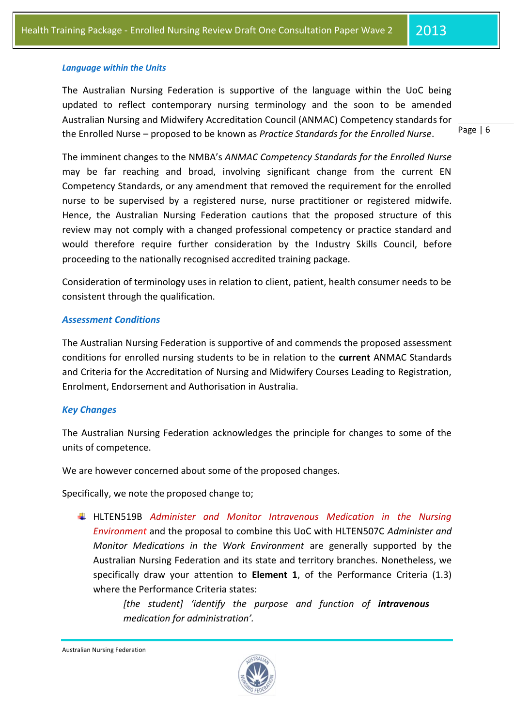#### *Language within the Units*

The Australian Nursing Federation is supportive of the language within the UoC being updated to reflect contemporary nursing terminology and the soon to be amended Australian Nursing and Midwifery Accreditation Council (ANMAC) Competency standards for the Enrolled Nurse – proposed to be known as *Practice Standards for the Enrolled Nurse*.

Page | 6

The imminent changes to the NMBA's *ANMAC Competency Standards for the Enrolled Nurse* may be far reaching and broad, involving significant change from the current EN Competency Standards, or any amendment that removed the requirement for the enrolled nurse to be supervised by a registered nurse, nurse practitioner or registered midwife. Hence, the Australian Nursing Federation cautions that the proposed structure of this review may not comply with a changed professional competency or practice standard and would therefore require further consideration by the Industry Skills Council, before proceeding to the nationally recognised accredited training package.

Consideration of terminology uses in relation to client, patient, health consumer needs to be consistent through the qualification.

#### *Assessment Conditions*

The Australian Nursing Federation is supportive of and commends the proposed assessment conditions for enrolled nursing students to be in relation to the **current** ANMAC Standards and Criteria for the Accreditation of Nursing and Midwifery Courses Leading to Registration, Enrolment, Endorsement and Authorisation in Australia.

## *Key Changes*

The Australian Nursing Federation acknowledges the principle for changes to some of the units of competence.

We are however concerned about some of the proposed changes.

Specifically, we note the proposed change to;

HLTEN519B *Administer and Monitor Intravenous Medication in the Nursing Environment* and the proposal to combine this UoC with HLTEN507C *Administer and Monitor Medications in the Work Environment* are generally supported by the Australian Nursing Federation and its state and territory branches*.* Nonetheless, we specifically draw your attention to **Element 1**, of the Performance Criteria (1.3) where the Performance Criteria states:

> *[the student] 'identify the purpose and function of intravenous medication for administration'.*

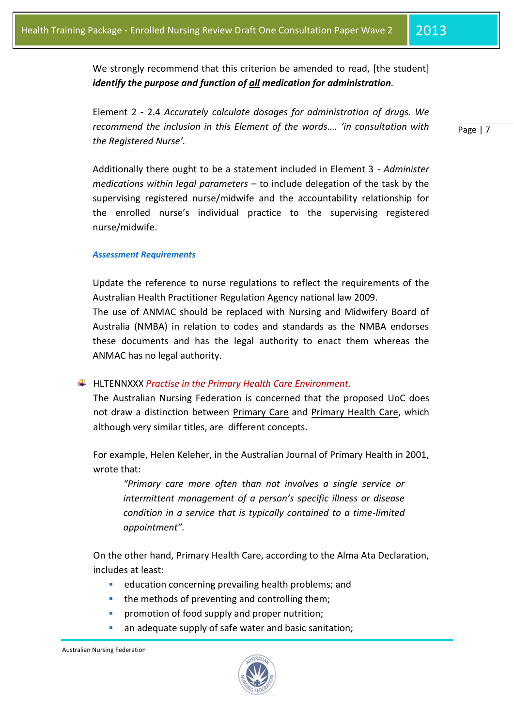We strongly recommend that this criterion be amended to read, [the student] *identify the purpose and function of all medication for administration.*

Element 2 - 2.4 *Accurately calculate dosages for administration of drugs. We recommend the inclusion in this Element of the words…. 'in consultation with the Registered Nurse'.*

Additionally there ought to be a statement included in Element 3 - *Administer medications within legal parameters* – to include delegation of the task by the supervising registered nurse/midwife and the accountability relationship for the enrolled nurse's individual practice to the supervising registered nurse/midwife.

#### *Assessment Requirements*

Update the reference to nurse regulations to reflect the requirements of the Australian Health Practitioner Regulation Agency national law 2009.

The use of ANMAC should be replaced with Nursing and Midwifery Board of Australia (NMBA) in relation to codes and standards as the NMBA endorses these documents and has the legal authority to enact them whereas the ANMAC has no legal authority.

## HLTENNXXX *Practise in the Primary Health Care Environment.*

The Australian Nursing Federation is concerned that the proposed UoC does not draw a distinction between Primary Care and Primary Health Care, which although very similar titles, are different concepts.

For example, Helen Keleher, in the Australian Journal of Primary Health in 2001, wrote that:

*"Primary care more often than not involves a single service or intermittent management of a person's specific illness or disease condition in a service that is typically contained to a time-limited appointment".*

On the other hand, Primary Health Care, according to the Alma Ata Declaration, includes at least:

- education concerning prevailing health problems; and
- the methods of preventing and controlling them;
- promotion of food supply and proper nutrition;
- an adequate supply of safe water and basic sanitation;



Page | 7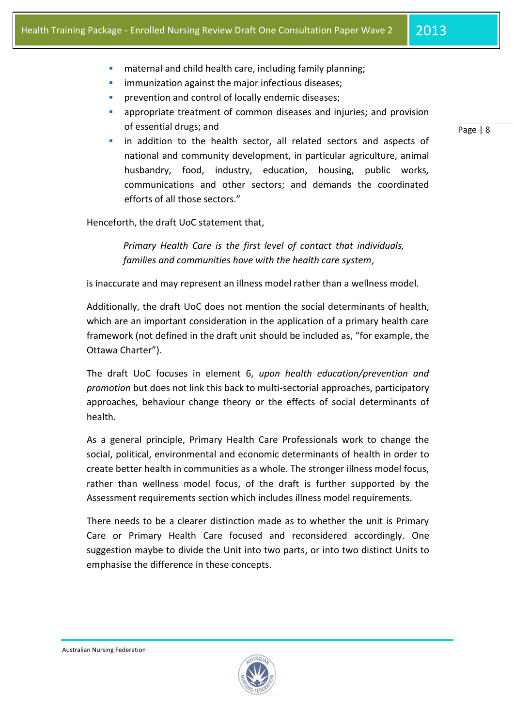- **EXED** maternal and child health care, including family planning;
- immunization against the major infectious diseases;
- prevention and control of locally endemic diseases;
- appropriate treatment of common diseases and injuries; and provision of essential drugs; and
- in addition to the health sector, all related sectors and aspects of national and community development, in particular agriculture, animal husbandry, food, industry, education, housing, public works, communications and other sectors; and demands the coordinated efforts of all those sectors."

Henceforth, the draft UoC statement that,

*Primary Health Care is the first level of contact that individuals, families and communities have with the health care system*,

is inaccurate and may represent an illness model rather than a wellness model.

Additionally, the draft UoC does not mention the social determinants of health, which are an important consideration in the application of a primary health care framework (not defined in the draft unit should be included as, "for example, the Ottawa Charter").

The draft UoC focuses in element 6, *upon health education/prevention and promotion* but does not link this back to multi-sectorial approaches, participatory approaches, behaviour change theory or the effects of social determinants of health.

As a general principle, Primary Health Care Professionals work to change the social, political, environmental and economic determinants of health in order to create better health in communities as a whole. The stronger illness model focus, rather than wellness model focus, of the draft is further supported by the Assessment requirements section which includes illness model requirements.

There needs to be a clearer distinction made as to whether the unit is Primary Care or Primary Health Care focused and reconsidered accordingly. One suggestion maybe to divide the Unit into two parts, or into two distinct Units to emphasise the difference in these concepts.

Australian Nursing Federation



Page | 8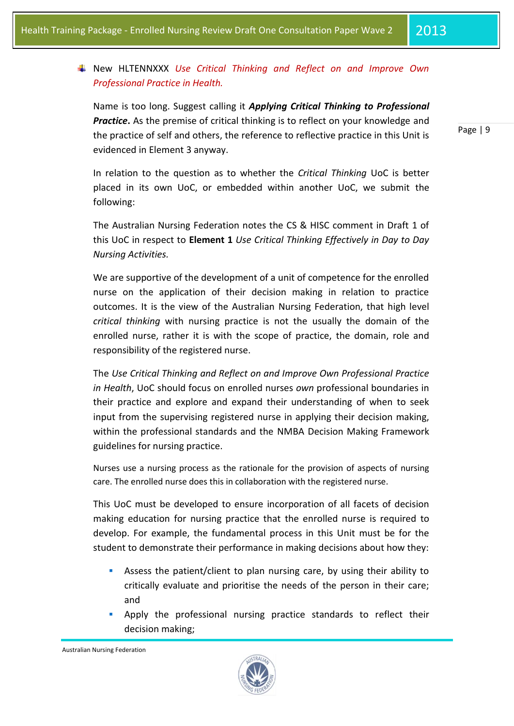# New HLTENNXXX *Use Critical Thinking and Reflect on and Improve Own Professional Practice in Health.*

Name is too long. Suggest calling it *Applying Critical Thinking to Professional*  **Practice.** As the premise of critical thinking is to reflect on your knowledge and the practice of self and others, the reference to reflective practice in this Unit is evidenced in Element 3 anyway.

In relation to the question as to whether the *Critical Thinking* UoC is better placed in its own UoC, or embedded within another UoC, we submit the following:

The Australian Nursing Federation notes the CS & HISC comment in Draft 1 of this UoC in respect to **Element 1** *Use Critical Thinking Effectively in Day to Day Nursing Activities.*

We are supportive of the development of a unit of competence for the enrolled nurse on the application of their decision making in relation to practice outcomes. It is the view of the Australian Nursing Federation, that high level *critical thinking* with nursing practice is not the usually the domain of the enrolled nurse, rather it is with the scope of practice, the domain, role and responsibility of the registered nurse.

The *Use Critical Thinking and Reflect on and Improve Own Professional Practice in Health*, UoC should focus on enrolled nurses *own* professional boundaries in their practice and explore and expand their understanding of when to seek input from the supervising registered nurse in applying their decision making, within the professional standards and the NMBA Decision Making Framework guidelines for nursing practice.

Nurses use a nursing process as the rationale for the provision of aspects of nursing care. The enrolled nurse does this in collaboration with the registered nurse.

This UoC must be developed to ensure incorporation of all facets of decision making education for nursing practice that the enrolled nurse is required to develop. For example, the fundamental process in this Unit must be for the student to demonstrate their performance in making decisions about how they:

- Assess the patient/client to plan nursing care, by using their ability to critically evaluate and prioritise the needs of the person in their care; and
- Apply the professional nursing practice standards to reflect their decision making;

Australian Nursing Federation



Page | 9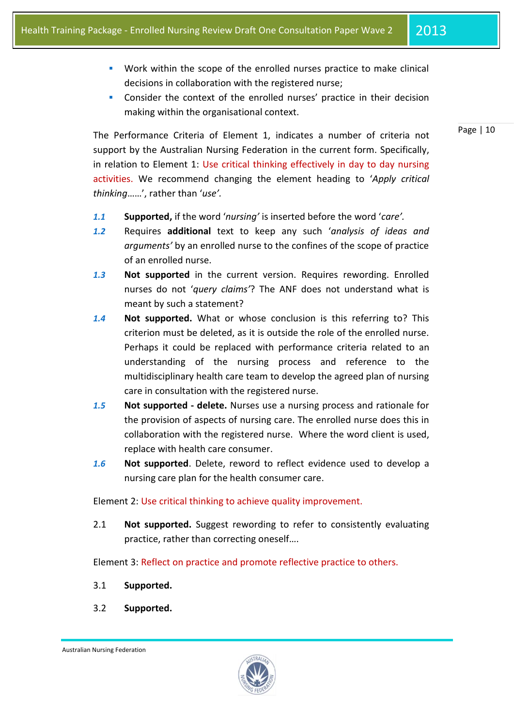Page | 10

- Work within the scope of the enrolled nurses practice to make clinical decisions in collaboration with the registered nurse;
- Consider the context of the enrolled nurses' practice in their decision making within the organisational context.

The Performance Criteria of Element 1, indicates a number of criteria not support by the Australian Nursing Federation in the current form. Specifically, in relation to Element 1: Use critical thinking effectively in day to day nursing activities. We recommend changing the element heading to '*Apply critical thinking*……', rather than '*use'.*

- *1.1* **Supported,** if the word '*nursing'* is inserted before the word '*care'.*
- *1.2* Requires **additional** text to keep any such '*analysis of ideas and arguments'* by an enrolled nurse to the confines of the scope of practice of an enrolled nurse.
- *1.3* **Not supported** in the current version. Requires rewording. Enrolled nurses do not '*query claims'*? The ANF does not understand what is meant by such a statement?
- *1.4* **Not supported.** What or whose conclusion is this referring to? This criterion must be deleted, as it is outside the role of the enrolled nurse. Perhaps it could be replaced with performance criteria related to an understanding of the nursing process and reference to the multidisciplinary health care team to develop the agreed plan of nursing care in consultation with the registered nurse.
- *1.5* **Not supported - delete.** Nurses use a nursing process and rationale for the provision of aspects of nursing care. The enrolled nurse does this in collaboration with the registered nurse. Where the word client is used, replace with health care consumer.
- *1.6* **Not supported**. Delete, reword to reflect evidence used to develop a nursing care plan for the health consumer care.

Element 2: Use critical thinking to achieve quality improvement.

2.1 **Not supported.** Suggest rewording to refer to consistently evaluating practice, rather than correcting oneself….

Element 3: Reflect on practice and promote reflective practice to others.

- 3.1 **Supported.**
- 3.2 **Supported.**

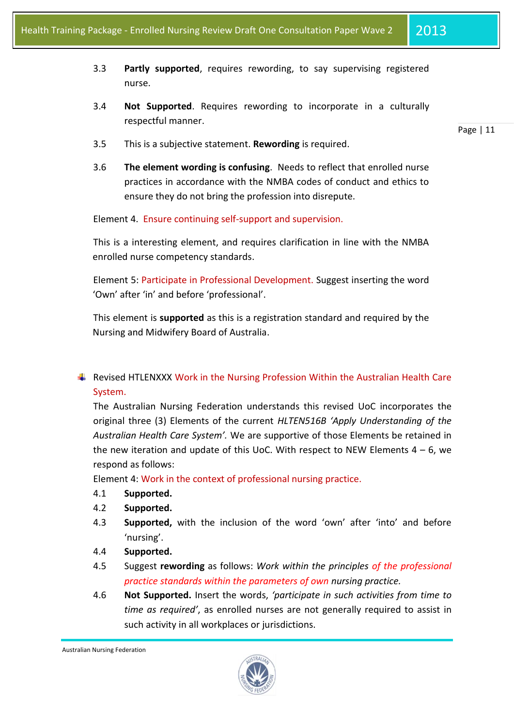- 3.3 **Partly supported**, requires rewording, to say supervising registered nurse.
- 3.4 **Not Supported**. Requires rewording to incorporate in a culturally respectful manner.

Page | 11

- 3.5 This is a subjective statement. **Rewording** is required.
- 3.6 **The element wording is confusing**. Needs to reflect that enrolled nurse practices in accordance with the NMBA codes of conduct and ethics to ensure they do not bring the profession into disrepute.

Element 4. Ensure continuing self-support and supervision.

This is a interesting element, and requires clarification in line with the NMBA enrolled nurse competency standards.

Element 5: Participate in Professional Development. Suggest inserting the word 'Own' after 'in' and before 'professional'.

This element is **supported** as this is a registration standard and required by the Nursing and Midwifery Board of Australia.

**F** Revised HTLENXXX Work in the Nursing Profession Within the Australian Health Care System.

The Australian Nursing Federation understands this revised UoC incorporates the original three (3) Elements of the current *HLTEN516B 'Apply Understanding of the Australian Health Care System'.* We are supportive of those Elements be retained in the new iteration and update of this UoC. With respect to NEW Elements  $4 - 6$ , we respond as follows:

Element 4: Work in the context of professional nursing practice.

- 4.1 **Supported.**
- 4.2 **Supported.**
- 4.3 **Supported,** with the inclusion of the word 'own' after 'into' and before 'nursing'.
- 4.4 **Supported.**
- 4.5 Suggest **rewording** as follows: *Work within the principles of the professional practice standards within the parameters of own nursing practice.*
- 4.6 **Not Supported.** Insert the words, *'participate in such activities from time to time as required'*, as enrolled nurses are not generally required to assist in such activity in all workplaces or jurisdictions.

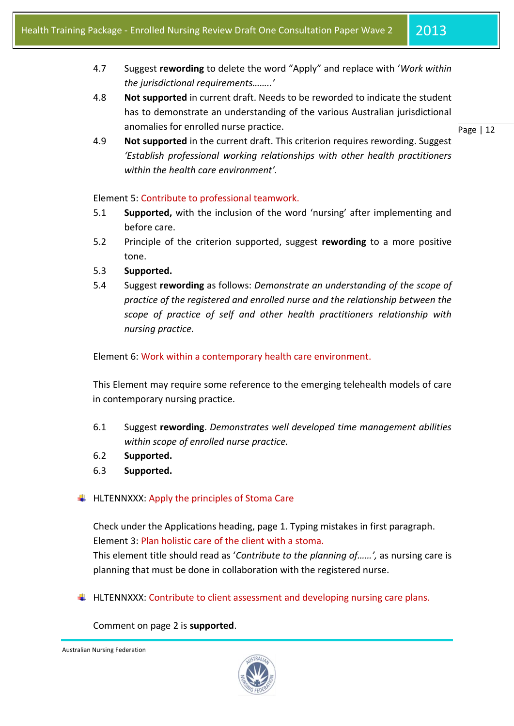- 4.7 Suggest **rewording** to delete the word "Apply" and replace with '*Work within the jurisdictional requirements……..'*
- 4.8 **Not supported** in current draft. Needs to be reworded to indicate the student has to demonstrate an understanding of the various Australian jurisdictional anomalies for enrolled nurse practice.

Page | 12

4.9 **Not supported** in the current draft. This criterion requires rewording. Suggest *'Establish professional working relationships with other health practitioners within the health care environment'.*

## Element 5: Contribute to professional teamwork.

- 5.1 **Supported,** with the inclusion of the word 'nursing' after implementing and before care.
- 5.2 Principle of the criterion supported, suggest **rewording** to a more positive tone.
- 5.3 **Supported.**
- 5.4 Suggest **rewording** as follows: *Demonstrate an understanding of the scope of practice of the registered and enrolled nurse and the relationship between the scope of practice of self and other health practitioners relationship with nursing practice.*

Element 6: Work within a contemporary health care environment.

This Element may require some reference to the emerging telehealth models of care in contemporary nursing practice.

- 6.1 Suggest **rewording**. *Demonstrates well developed time management abilities within scope of enrolled nurse practice.*
- 6.2 **Supported.**
- 6.3 **Supported.**

# $\ddotplus$  HLTENNXXX: Apply the principles of Stoma Care

Check under the Applications heading, page 1. Typing mistakes in first paragraph. Element 3: Plan holistic care of the client with a stoma.

This element title should read as '*Contribute to the planning of……',* as nursing care is planning that must be done in collaboration with the registered nurse.

 $\ddotplus$  HLTENNXXX: Contribute to client assessment and developing nursing care plans.

## Comment on page 2 is **supported**.

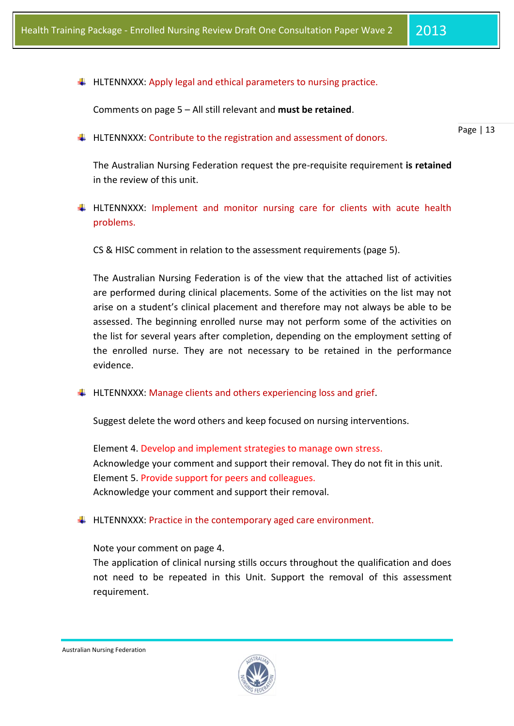$\ddot{+}$  HLTENNXXX: Apply legal and ethical parameters to nursing practice.

Comments on page 5 – All still relevant and **must be retained**.

 $\ddot{+}$  HLTENNXXX: Contribute to the registration and assessment of donors.

Page | 13

The Australian Nursing Federation request the pre-requisite requirement **is retained** in the review of this unit.

 $\downarrow$  HLTENNXXX: Implement and monitor nursing care for clients with acute health problems.

CS & HISC comment in relation to the assessment requirements (page 5).

The Australian Nursing Federation is of the view that the attached list of activities are performed during clinical placements. Some of the activities on the list may not arise on a student's clinical placement and therefore may not always be able to be assessed. The beginning enrolled nurse may not perform some of the activities on the list for several years after completion, depending on the employment setting of the enrolled nurse. They are not necessary to be retained in the performance evidence.

 $\ddot{+}$  HLTENNXXX: Manage clients and others experiencing loss and grief.

Suggest delete the word others and keep focused on nursing interventions.

Element 4. Develop and implement strategies to manage own stress. Acknowledge your comment and support their removal. They do not fit in this unit. Element 5. Provide support for peers and colleagues. Acknowledge your comment and support their removal.

 $\ddot{+}$  HLTENNXXX: Practice in the contemporary aged care environment.

## Note your comment on page 4.

The application of clinical nursing stills occurs throughout the qualification and does not need to be repeated in this Unit. Support the removal of this assessment requirement.

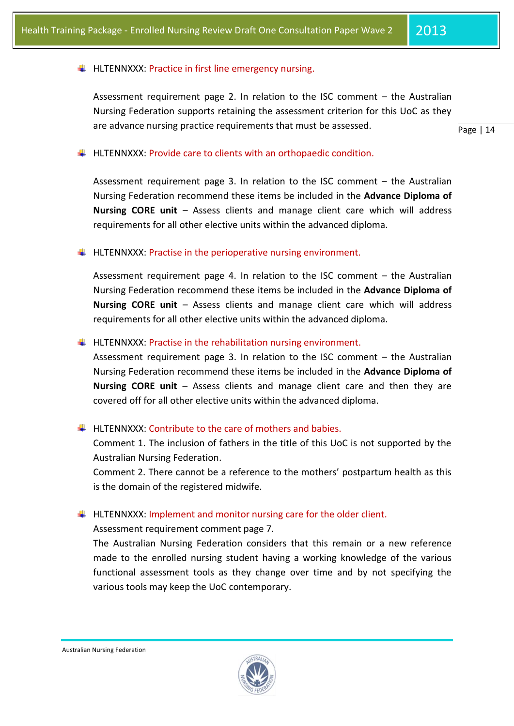## $\downarrow$  HLTENNXXX: Practice in first line emergency nursing.

Assessment requirement page 2. In relation to the ISC comment – the Australian Nursing Federation supports retaining the assessment criterion for this UoC as they are advance nursing practice requirements that must be assessed.

Page | 14

### $\ddot{\phantom{1}}$  HLTENNXXX: Provide care to clients with an orthopaedic condition.

Assessment requirement page 3. In relation to the ISC comment – the Australian Nursing Federation recommend these items be included in the **Advance Diploma of Nursing CORE unit** – Assess clients and manage client care which will address requirements for all other elective units within the advanced diploma.

 $\ddot{+}$  HLTENNXXX: Practise in the perioperative nursing environment.

Assessment requirement page 4. In relation to the ISC comment – the Australian Nursing Federation recommend these items be included in the **Advance Diploma of Nursing CORE unit** – Assess clients and manage client care which will address requirements for all other elective units within the advanced diploma.

 $\ddot{+}$  HLTENNXXX: Practise in the rehabilitation nursing environment.

Assessment requirement page 3. In relation to the ISC comment – the Australian Nursing Federation recommend these items be included in the **Advance Diploma of Nursing CORE unit** – Assess clients and manage client care and then they are covered off for all other elective units within the advanced diploma.

#### $\text{H}\text{-}\text{H}$  HLTENNXXX: Contribute to the care of mothers and babies.

Comment 1. The inclusion of fathers in the title of this UoC is not supported by the Australian Nursing Federation.

Comment 2. There cannot be a reference to the mothers' postpartum health as this is the domain of the registered midwife.

 $\ddot{+}$  HLTENNXXX: Implement and monitor nursing care for the older client.

Assessment requirement comment page 7.

The Australian Nursing Federation considers that this remain or a new reference made to the enrolled nursing student having a working knowledge of the various functional assessment tools as they change over time and by not specifying the various tools may keep the UoC contemporary.

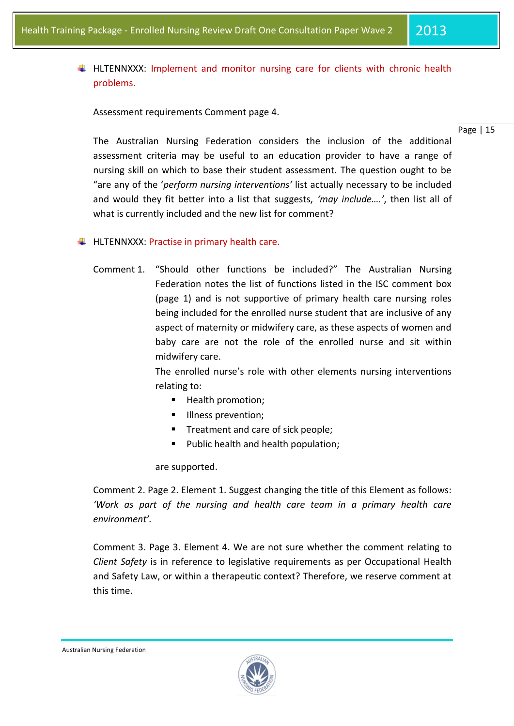HLTENNXXX: Implement and monitor nursing care for clients with chronic health problems.

Assessment requirements Comment page 4.

Page | 15

The Australian Nursing Federation considers the inclusion of the additional assessment criteria may be useful to an education provider to have a range of nursing skill on which to base their student assessment. The question ought to be "are any of the '*perform nursing interventions'* list actually necessary to be included and would they fit better into a list that suggests, *'may include….'*, then list all of what is currently included and the new list for comment?

 $\downarrow$  HLTENNXXX: Practise in primary health care.

Comment 1. "Should other functions be included?" The Australian Nursing Federation notes the list of functions listed in the ISC comment box (page 1) and is not supportive of primary health care nursing roles being included for the enrolled nurse student that are inclusive of any aspect of maternity or midwifery care, as these aspects of women and baby care are not the role of the enrolled nurse and sit within midwifery care.

> The enrolled nurse's role with other elements nursing interventions relating to:

- Health promotion;
- **Illness prevention;**
- Treatment and care of sick people;
- **Public health and health population;**

are supported.

Comment 2. Page 2. Element 1. Suggest changing the title of this Element as follows: *'Work as part of the nursing and health care team in a primary health care environment'.*

Comment 3. Page 3. Element 4. We are not sure whether the comment relating to *Client Safety* is in reference to legislative requirements as per Occupational Health and Safety Law, or within a therapeutic context? Therefore, we reserve comment at this time.

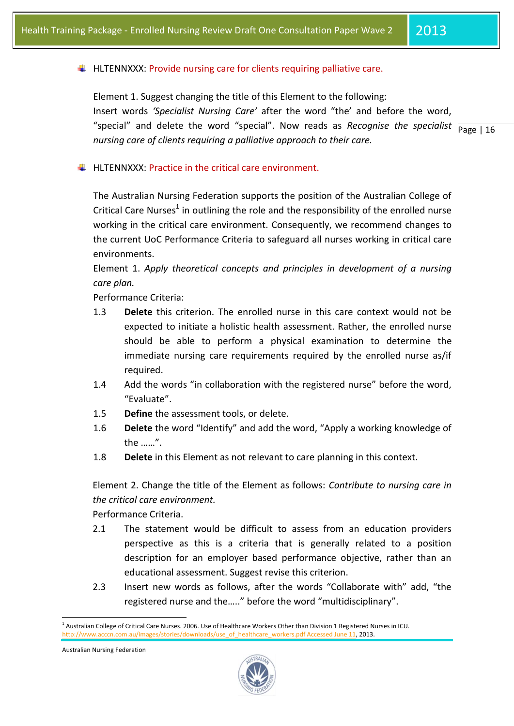### $\ddot{\text{+}}$  HLTENNXXX: Provide nursing care for clients requiring palliative care.

"special" and delete the word "special". Now reads as *Recognise the specialist*  $\frac{}{Page | 16}$ Element 1. Suggest changing the title of this Element to the following: Insert words *'Specialist Nursing Care'* after the word "the' and before the word, *nursing care of clients requiring a palliative approach to their care.*

 $\ddot{+}$  HLTENNXXX: Practice in the critical care environment.

The Australian Nursing Federation supports the position of the Australian College of Critical Care Nurses<sup>1</sup> in outlining the role and the responsibility of the enrolled nurse working in the critical care environment. Consequently, we recommend changes to the current UoC Performance Criteria to safeguard all nurses working in critical care environments.

Element 1. *Apply theoretical concepts and principles in development of a nursing care plan.*

Performance Criteria:

- 1.3 **Delete** this criterion. The enrolled nurse in this care context would not be expected to initiate a holistic health assessment. Rather, the enrolled nurse should be able to perform a physical examination to determine the immediate nursing care requirements required by the enrolled nurse as/if required.
- 1.4 Add the words "in collaboration with the registered nurse" before the word, "Evaluate".
- 1.5 **Define** the assessment tools, or delete.
- 1.6 **Delete** the word "Identify" and add the word, "Apply a working knowledge of the ……".
- 1.8 **Delete** in this Element as not relevant to care planning in this context.

Element 2. Change the title of the Element as follows: *Contribute to nursing care in the critical care environment.*

Performance Criteria.

- 2.1 The statement would be difficult to assess from an education providers perspective as this is a criteria that is generally related to a position description for an employer based performance objective, rather than an educational assessment. Suggest revise this criterion.
- 2.3 Insert new words as follows, after the words "Collaborate with" add, "the registered nurse and the….." before the word "multidisciplinary".

Australian Nursing Federation

1



<sup>&</sup>lt;sup>1</sup> Australian College of Critical Care Nurses. 2006. Use of Healthcare Workers Other than Division 1 Registered Nurses in ICU. [http://www.acccn.com.au/images/stories/downloads/use\\_of\\_healthcare\\_workers.pdf Accessed June 11,](http://www.acccn.com.au/images/stories/downloads/use_of_healthcare_workers.pdf%20Accessed%20June%2011) 2013.